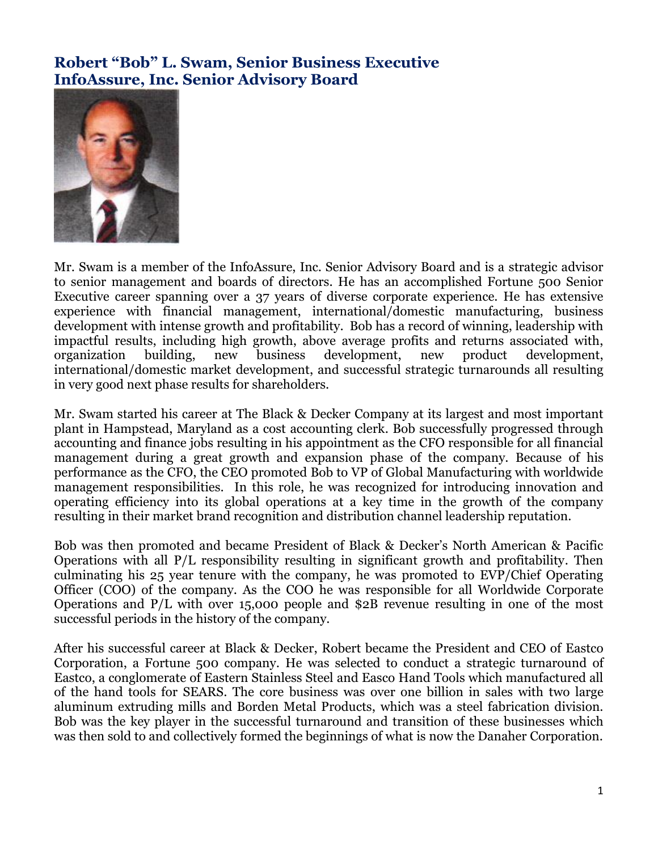## **Robert "Bob" L. Swam, Senior Business Executive InfoAssure, Inc. Senior Advisory Board**



Mr. Swam is a member of the InfoAssure, Inc. Senior Advisory Board and is a strategic advisor to senior management and boards of directors. He has an accomplished Fortune 500 Senior Executive career spanning over a 37 years of diverse corporate experience. He has extensive experience with financial management, international/domestic manufacturing, business development with intense growth and profitability. Bob has a record of winning, leadership with impactful results, including high growth, above average profits and returns associated with, organization building, new business development, new product development, international/domestic market development, and successful strategic turnarounds all resulting in very good next phase results for shareholders.

Mr. Swam started his career at The Black & Decker Company at its largest and most important plant in Hampstead, Maryland as a cost accounting clerk. Bob successfully progressed through accounting and finance jobs resulting in his appointment as the CFO responsible for all financial management during a great growth and expansion phase of the company. Because of his performance as the CFO, the CEO promoted Bob to VP of Global Manufacturing with worldwide management responsibilities. In this role, he was recognized for introducing innovation and operating efficiency into its global operations at a key time in the growth of the company resulting in their market brand recognition and distribution channel leadership reputation.

Bob was then promoted and became President of Black & Decker's North American & Pacific Operations with all P/L responsibility resulting in significant growth and profitability. Then culminating his 25 year tenure with the company, he was promoted to EVP/Chief Operating Officer (COO) of the company. As the COO he was responsible for all Worldwide Corporate Operations and P/L with over 15,000 people and \$2B revenue resulting in one of the most successful periods in the history of the company.

After his successful career at Black & Decker, Robert became the President and CEO of Eastco Corporation, a Fortune 500 company. He was selected to conduct a strategic turnaround of Eastco, a conglomerate of Eastern Stainless Steel and Easco Hand Tools which manufactured all of the hand tools for SEARS. The core business was over one billion in sales with two large aluminum extruding mills and Borden Metal Products, which was a steel fabrication division. Bob was the key player in the successful turnaround and transition of these businesses which was then sold to and collectively formed the beginnings of what is now the Danaher Corporation.